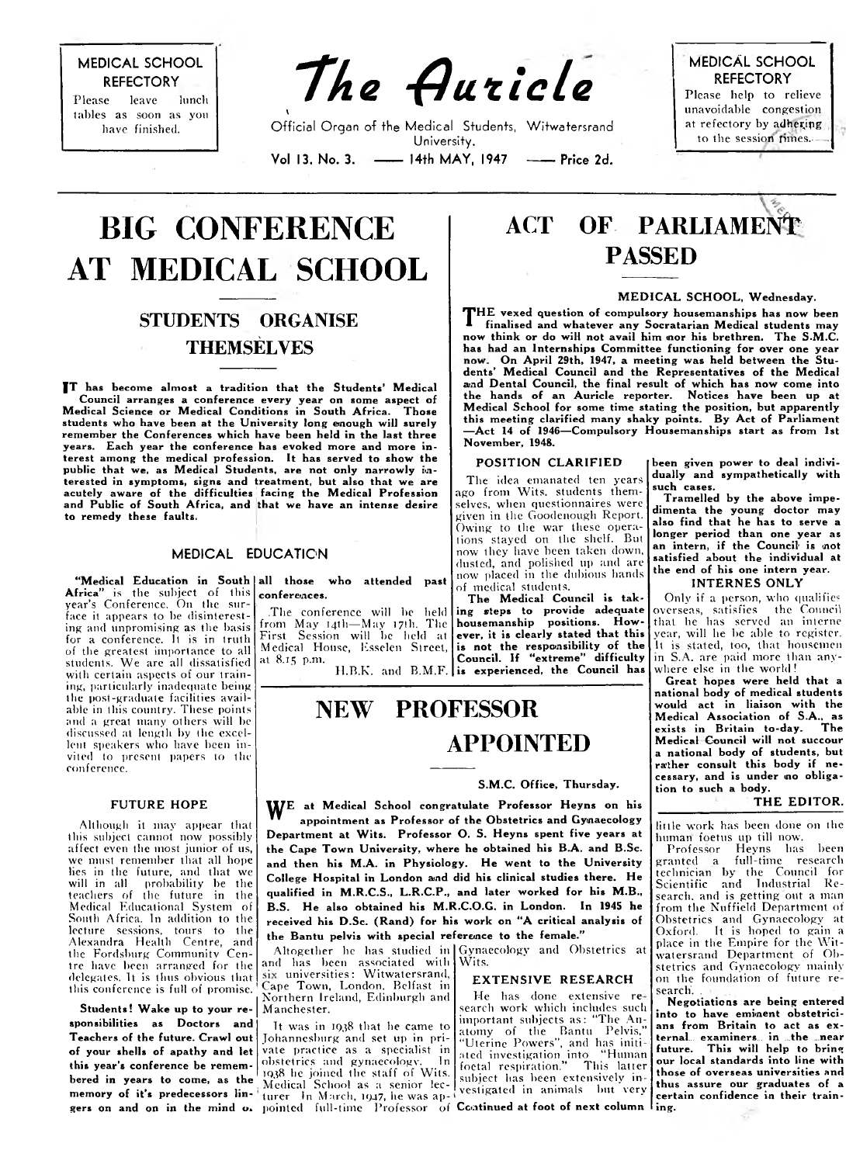MEDICAL SCHOOL **REFECTORY** 

Please leave lunch tables as soon as you have finished.

*"The -QuticLe*

Official Organ of fhe Medical Students, Witwatersrand University. Vol 13, No. 3. - 14th MAY, 1947 - Price 2d.

MEDICAL SCHOOL **REFECTORY** Please help to relieve unavoidable congestion at refectory by adhering to the session times.

# **BIG CONFERENCE AT MEDICAL SCHOOL**

*\*

### **STUDENTS ORGANISE THEMSELVES**

IT has become almost a tradition that the Students' Medical Council arranges a conference every year on some aspect of<br>dical Science or Medical Conditions in South Africa. Those Medical Science or Medical Conditions in South Africa. students who have been at the University long enough will surely remember the Conferences which have been held in the last three years. Each year the conterence has evoked more and more interest among the medical profession. It has served to show the public that we, as Medical Students, are not only narrowly interested in symptoms, signs and treatment, but also that we are acutely aware of the difficulties facing the Medical Profession and Public of South Africa, and that we have an intense desire to remedy these faults.

#### MEDICAL EDUCATION

**Africa**" is the subject of this year's Conference. On the surface it appears to be disinteresting and unpromising as tbe basis for a conference. It is in truth of tbe greatest importance to all students. We are all dissatisfied with certain aspects of our training, particularly inadequate being tbe post-graduate facilities available in this country. These points and a great many others will be discussed at length by the excellent speakers who have been invited to present papers to the conference.

#### FUTURE HOPE

Although it may appear that this subject cannot now possibly affect even the most junior of us, we must remember that all hope lies in the future, and that we will in all probability be the teachers of the future in the Medical Educational System of South Africa. In addition to the lecture sessions, tours to the Alexandra Health Centre, and the Fordsburg Community Centre have been arranged for the delegates. It is thus obvious that this conference is full of promise.

Students! Wake up to your responsibilities as Doctors and Teachers of the future. Crawl out of your shells of apathy and let this year's conference be remembered in years to come, as the memory of it's predecessors lingers on and on in the mind o.

"Medical Education in South|all those  $\,$  who attended  $\,$  past conferences.

> .The conference will be held from M ay 14th— M ay 17th. The First Session will be held at Medical House, Esselen Street,

at 8.15 p.m.

# ACT OF PARLIAMENT PASSED

#### MEDICAL SCHOOL, Wednesday.

**T**HE vexed question of compulsory housemanships has now been<br> **The indised and whatever any Socratarian Medical students may<br>
now think or do will not avail him mor his hrathren The SMC** finalised and whatever any Socratarian Medical students may now think or do will not avail him nor his brethren. The S.M.C. has had an Internships Committee functioning for over one year On April 29th, 1947, a meeting was held between the Students' Medical Council and the Kepresentatives of the Medical and Dental Council, the final result of which has now come into the hands of an Auricle reporter. Notices have been up at Medical School for some time stating the position, but apparently this meeting clarified many shaky points. By Act of Parliament mo mooting character many change points by the car is a minimized - Act 14 of 1946—Compulsory Housemanships start as from 1st November, 1948.

#### POSITION CLARIFIED

The idea emanated ten years ago from Wits, students themselves, when questionnaires were given in the Goodenough Report. Owing to the war these operations stayed on the shelf. But now they have been taken down, dusted, and polished up and arenow placed in the dubious bands of medical students.

H.B.K. and B.M.F. is experienced, the Council has The Medical Council is taking steps to provide adequate housemanship positions. However, it is clearly stated that this is not the responsibility of the Council. If "extreme" difficulty

## NEW PROFESSOR APPOINTED

#### S.M.C. Office, Thursday.

 $\bf{W}^E$  at Medical School congratulate Professor Heyns on his appointment as Professor of the Obstetrics and Gynaecology Department at Wits. Professor O. S. Heyns spent five years at the Cape Town University, where he obtained his B.A. and B.Sc. and then his M.A. in Physiology. He went to the University College Hospital in London and did his clinical studies there. He qualified in M.R.C.S., L.R.C.P., and later worked for his M.B., B.S. He also obtained his M.R.C.O.G. in London. In 1945 he received his D.Sc. (Rand) for his work on "A critical analysis of the Bantu pelvis with special reference to the female."

Altogether he has studied in and has been associated witli universities: Witwatersrand, Cape Town, London. Belfast in Northern Ireland, Edinburgh and Manchester.

It was in 1938 that he came to Johannesburg and set up in private practice as a specialist in obstetrics and gynaecology. In 1938 he joined the staff of Wits. Medical School as a senior lec-<br>turer In March, 1947, he was appointed full-time Professor of Continued at foot of next column ling.

Gynaecologv and Obstetrics at Wits.

#### EXTENSIVE RESEARCH

He has done extensive re-<br>search work which includes such search work which includes such important subjects as: "The An-<br>atomy of the Bantu Pelvis," "Uterine Powers", and has initi+<br>ated investigation into "Human foetal respiration." This latter subject lias been extensively in vestigated in animals but very

been given power to deal indi<mark>vi-</mark> dually and sympathetically with such cases.

Tramelled by the above impedimenta the young doctor may also find that he has to serve a longer period than one year as an intern, if the Council is not satisfied about the individual at the end of his one intern year. **INTERNES ONLY** 

Only if a person, who qualifies overseas, satisfies the Council that he lias served an interne year, will be be able to register. It is stated, too, that housemen in S.A. are paid more than anywhere else in the world!

Great hopes were held that a national body of medical students would act in liaison with the would act in naison ......<br>Medical Association of S.A., as<br>Buitain to-day. The exists in Britain to-day. The Medical Council will not succour a national body of students, but rather consult this body if necessary, and is under no obligation to such a body.

#### THE EDITOR.

little work has been done on the human foetus up till now.

Professor Heyns has been granted a full-time research technician by the Council for Scientific and Industrial Research. and is getting out a man from the Nuffield Department of Obstetrics and Gynaecology at Oxford. It is hoped to gain a place in the Empire for the Witwatersrand Department of Obstetrics and Gynaecology mainly on the foundation of future research.

Negotiations are being entered into to have eminent obstetricians from Britain to act as external... exam iners... in ...the . near future. This will help to bring our local standards into line with those of overseas universities and thus assure our graduates of a certain confidence in their train-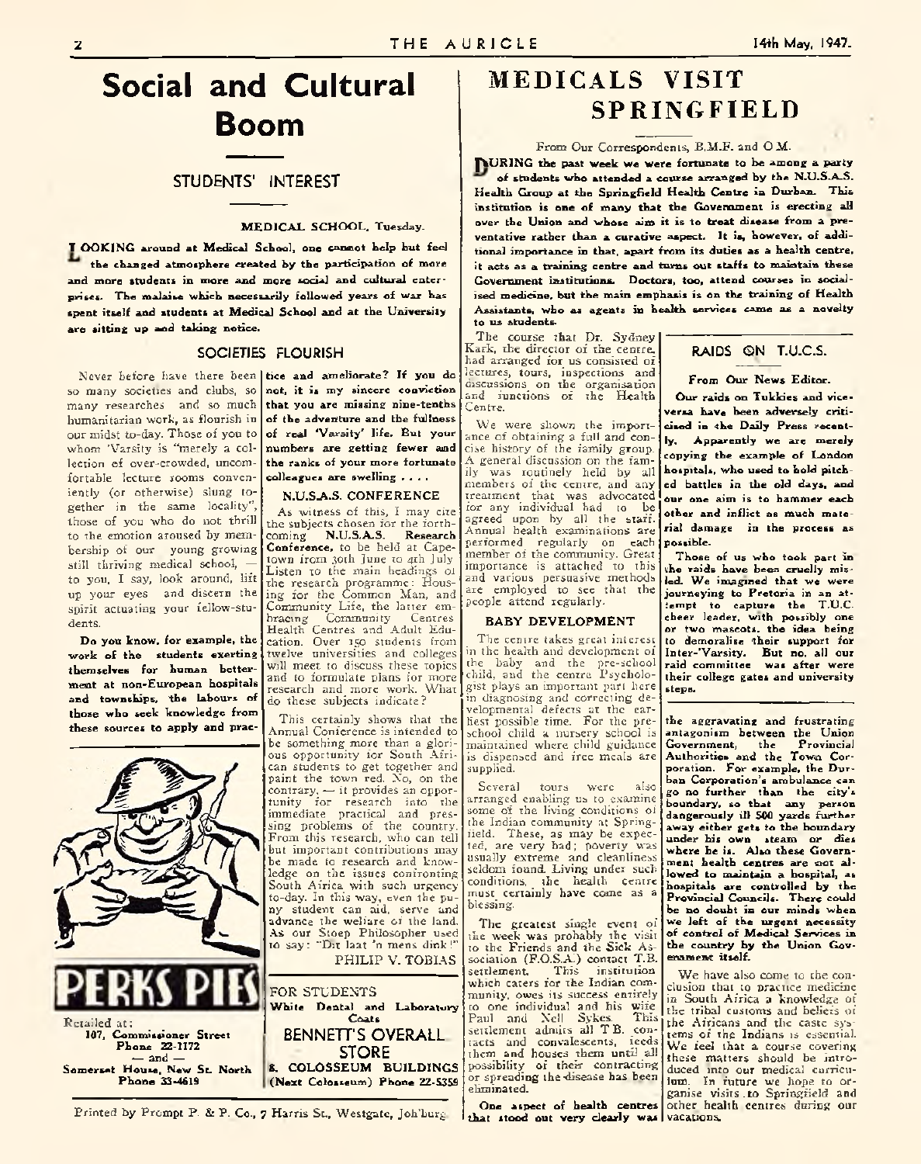# **Social and Cultural Boom**

#### STUDENTS' INTEREST

#### **MEDICAL SCHOOL, Tuesday.**

**I OOKING** around at Medical School, one cannot help but feel **the changed atmosphere created by the participation of more and more students in more and more social and cultural enterprises. The malaise which necessarily followed years of war has** spent itself and students at Medical School and at the University are sitting up and taking notice.

#### SOCIETIES FLOURISH

so many societies and clubs, so **not, it is my sincere conviction** many researches and so much humanitarian work, as flourish in our midst to-day. Those of you to whom 'Varsity is "merely a collection of over-crowded, uncomfortable lecture rooms conven-**colleagues are swelling ....** iently (or otherwise) slung together in the same locality", those of you who do not thrill to the emotion aroused by membership of our young growing still thriving medical school, to you, I say, look around, lift to you, I say, look around, <sup>int</sup> the research programme: Hous-<br>up your eyes and discern the ling for the Common Man, and spirit actuating your fellow-students.

**Do you know, for example, the** work of the students exerting **themselves for human betterment at non-European hospitals and townships, the labours of those who seek knowledge from these sources to apply and prac-**



Never before have there been **tice and ameliorate? If you do that you are missing nine-tenths of the adventure and the fullness of real 'Varsity' life. But your numbers are getting fewer and the ranks of your more fortunate**

#### **N .U .S A .S . CO NFERENCE**

As witness of this, I may cite the subjects chosen for the forth-<br>coming N.U.S.A.S. Research coming **N.U.S.A.S. Conference,** to be held at Capetown from 30th June to 4th July Listen to the main headings 01 ing for the Common Man, and Community Life, the latter em-<br>bracing Community Centres Community Health Centres and Adult Education. Over 150 students from twelve universities and colleges will meet to discuss these topics and to formulate plans for more research and more work. What do these subjects indicate ?

This certainly shows that the Annual Conference is intended to be something more than a glorious opportunity for South African students to get together and paint the town red. No, on the contrary, — it provides an opportunity for research into the immediate practical and pressing problems of the country. From this research, who can tell but important contributions may be made to research and knowledge on the issues confronting South Africa with such urgency to-day. In this way, even the puny student can aid, serve and advance the welfare of the land. As our Stoep Philosopher used to say: "Dit laat 'n mens dink!"

PHILIP V. TOBIAS



Printed by Prompt P. & P. Co., 7 Harris St., Westgate, Joh'burg,

### MEDICALS VISIT SPRINGFIELD

#### From Our Correspondents, B.M.F. and O.M.

**JVURING the past week we were fortunate to be among a party** of students who attended a course arranged by the N.U.S.A.S. **Health Group at the Springfield Health Centre in Durban. This institution is one of many that the Government is erecting all over the Union and whose aim it is to treat disease from a preventative rather than a curative aspect. It is, however, of additional importance in that, apart from its duties as a health centre, it acts as a training centre and turns out staffs to maintain these Government institutions. Doctors, too, attend courses in social**ised medicine, but the main emphasis is on the training of Health **Assistants, who as agents in health services came as a novelty to us students.**

The course that Dr. Sydney Kark, the director of the centre, had arranged for us consisted of lectures, tours, inspections and discussions on the organisation and functions of the Health Centre.

We were shown the importance of obtaining a full and concise history of the family group. A general discussion on the family was routinely held by all members of the centre, and any treatment that was advocated for any individual had to be agreed upon by all the staff. Annual health examinations are performed regularly on each member of the community. Great importance is attached to this and various persuasive methods are employed to see that the people attend regularly.

#### **BABY DEVELOPMENT**

The centre takes great interest in the health and development of the baby and the pre-school child, and the centre Psychologist plays an important part here in diagnosing and correcting developmental defects at the earliest possible time. For the preschool child a nursery school is maintained where child guidance is dispensed and free meals are supplied.

Several tours were also arranged enabling us to examine some of the living conditions of the Indian community at Springfield. These, as may be expected, are very bad; poverty was usually extreme and cleanliness seldom found. Living under such conditions, the health centre must certainly have come as a blessing.

The greatest single event of the week was probably the visit to the Friends and the Sick Association (F.O.S.A.) contact T.B. settlement. This institution which caters for the Indian community, owes its success entirely to one individual and his wife Paul and Nell Sykes. This settlement admits all T.B. contacts and convalescents, feeds them and houses them until all possibility of their contracting or spreading the disease has been eliminated.

One aspect of health centres other health centres during our **that stood out very clearly wa\*** vacations.

### RAIDS GN T.U.C.S.

**From Our News Editor.**

**Our raids on Tukkies and viceversa have been adversely criticised in the Daily Press recently. Apparently we are merely copying the example of London hospitals, who used to bold pitched battles in the old days, and our one aim is to hammer each other and inflict as much material damage in the process as possible.**

**Those of us who took part in the raids have been cruelly mis**led. We imagined that we were **journeying to Pretoria in an atiempt to capture the T.U.C. cheer leader, with possibly one or two mascots, the idea being to demoralise 'their support for Inter-'Varsity. But no, all our raid committee was after were their college gates and university steps.**

**the aggravating and frustrating antagonism between the Union Government, the Provincial** Authorities and the Town Cor**poration. For example, the Durban Corporation's ambulance can go no further than the city's boundary, so that any person dangerously ill 500 yards further away either gets to the boundary under his own steam or dies where he is. Also these Government health centres are mot allowed to maintain a hospital, as hospitals are controlled by the Provincial Councils. There could be no doubt in our minds when we left of the urgent necessity of control of Medical Services in the country by the Union Govenament itself.**

We have also come to the conclusion that to practice medicine in South Africa a knowledge of the tribal customs and beliefs of the Africans and the caste systems of the Indians is essential. We feel that a course covering these matters should be intro-duced into our medical curriculum. In future wc hope to organise visits , to Springfield and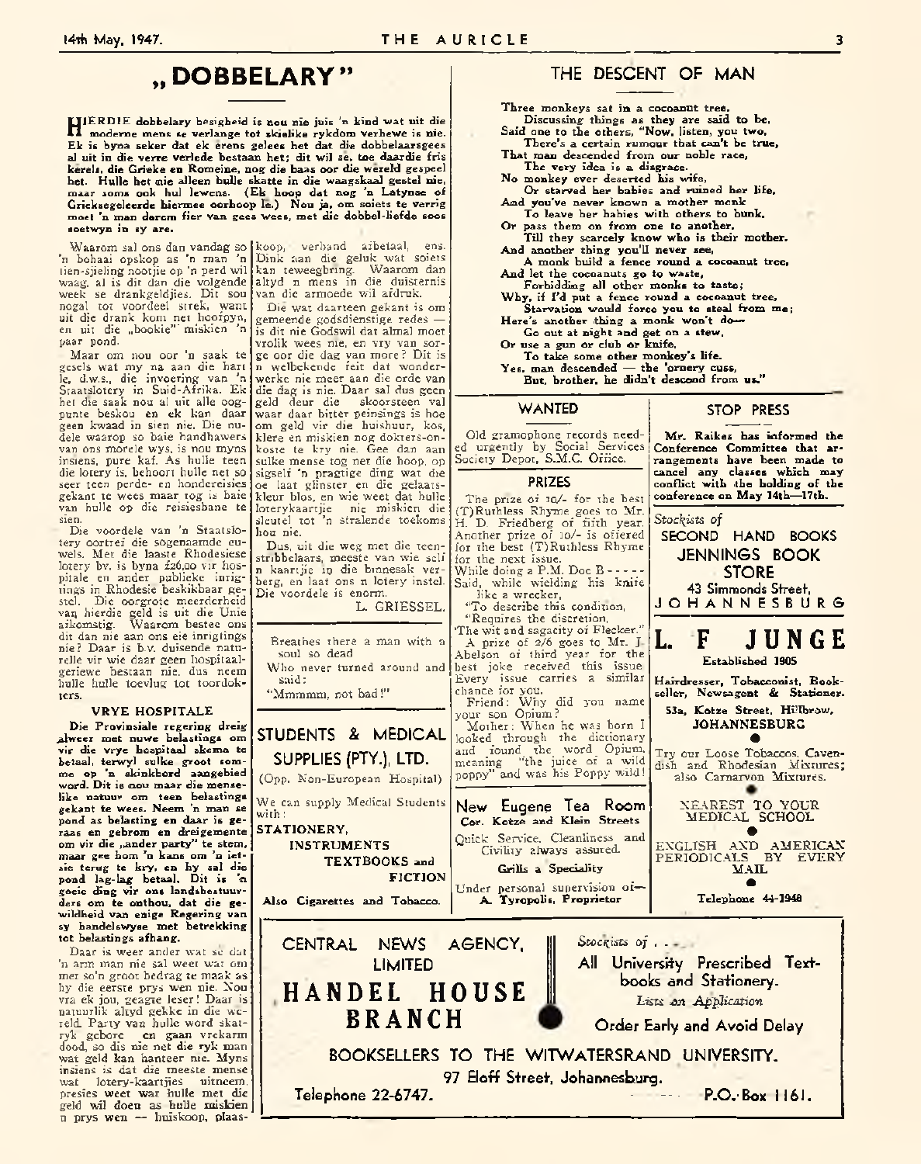### » **DOBBELARY »**

**HERDIE** dobbelary besigheid is nou nie juis 'n kind wat uit die **IERD IE dobbelary besigheid is aou nie juis 'n kind wat uit die Ek is byna seker dat ek erens gelees het dat die dobbelaarsgees al uit in die verre verlede bestaan het; dit wil se, toe daardie fris kerels, die Grieke en Romeine, nog die baas oor die wereld gespeel het. Hulle het nie alleen hulle skatte in die waagskaal gestel nie, maai- soms ook hul lewens. (Ek hoop dat nog 'n Latynse of Grieksegeleerde hiermee oorhoop le.) Nou ja, om soiets te verrig moet 'n man darem fier van gees wees, met die dobbel-liefde soos soetwyn in sy are.**

'n bohaai opskop as 'n man 'n tien-sjieling nootjie op 'n perd wil waag, al is dit dan die volgende week se drankgeldjies. Dit sou nogal tot voordeel strek, want uit die drank kom net hoofpyn, en uit die "bookie" miskien 'n paar pond.

■ Maar om nou oor 'n saak te gesels wat my na aan die hart le, d.w.s., die invoering van 'n Staatslotery in Suid-Afrika. Ek het die saak nou al uit alle oogpunte beskou en ek kan daar geen kwaad in sien nie. Die nudele waarop so baie handhawers van ons morcle wys, is nou myns insiens, pure kaf. As hulle teen die iotery is, behoort hulle net so seer teen perde- en hondereisies gekant te wees maar tog is baie van hulle op die reisiesbane te sien.

Die voordele van 'n Staatslotery oortref die sogenaamde euwels. Met die laaste Rhodesiese Iotery bv. is byna £26,00 vir hospitale en ander publieke inrigtings in Rhodesie beskikbaar gestel. Die oorgrote meerderheid van hierdie geld is uit die Unie aikomstig. Waarom bestee ons dit dan nie aan ons eie inrigtings nie? Daar is b.v. duisende naturelle vir wie daar geen hospitaalgeriewe bestaan nie, dus neem hulle hulle toevlug tot toordokters.

#### **VRYE HOSPITALE**

**Die Provinsiale regering dreig alweer met nuwe belastings om vir die vrye hospitaal skema te** betaal, terwyl sulke groot som**me op 'n skinkbord aangebied word. Dit is aou maar die menselike natuur om teen belastings gekant te wees. Neem 'n man se pond as belasting en daar is geraas en gebrom en dreigemente om vir die ,.ander party" te stem, maar gee horn 'n kans om 'n ietsie terug te kry, en hy sal die pond lag-lag betaal. Dit is** *'a* **goeie ding vir ons landsbestuurders om te onthou, dat die ge-wildheid van enige Regering van sy handelswyse met betrekking tot belastings afhang.**

Daar is weer ander wat sc dat 'n arm man nie sal wcet wat om met so'n groot bedrag te mask as hy die eerste prys wen nie. Nou vra ek jou, geagte leser! Daar is natuurlik altyd gekke in die wereld. Party van hulle word skatryk gebore en gaan vrekarm dood, so dis nie net die ryk man wat geld kan hanteer nie. Myns insiens is dat die meeste mense wat lotery-kaartjies uitneem, presies weet wat hulle met die geld wil doen as hulle miskien n prys wen — huiskoop, plaas-

Waarom sal ons dan vandag so koop, verband afbetaal, ens. Dink aan die geluk wat soiets kan teweegbring. Waarom dan altyd n mens in die duisternis van die armoede wil afdruk.

> Die wat daarteen gekant is om gemeende godsdienstige redes is dit nie Godswil dat alma] moet vrolik wees nie, en vry van sorge oor die dag van more ? Dit is n welbckcndc ieit dat wonderwerkc nie meer aan die orde van die dag is nie. Daar sal dus geen geld deur die skoorsteen val waar daar bitter peinsings is hoe om geld vir die huishuur, kos, klere en miskien nog dokters-onkostc te kry nie. Gee dan aan sulke mense tog net die hoop, op sigself 'n pragtige ding wat die oe laat glinster en die gelaatskleur bios, en wie weet dat hulle loterykaartjie nie miskien die sleutel\_tot 'n stralende toekoms | hou nie.

Dus, uit die weg met die teenstribbelaars, meeste van wie self n kaartjie in die bmnesak verberg, en laat ons n Iotery instel. Die voordele is enorm.

L. GRIESSEL.

Breathes there a man with a soul so dead

Who never turned around and said:

STUDENTS & MEDICAL SUPPLIES (PTY-), LTD. (Opp. Non-European Hospital)

**IN STR U M E N TS**

**Also Cigarettes and Tobacco.**

**T E X T B O O K S and**

CENTRAL NEWS AGENCY, LIMITED **HANDEL HOUSE BRANCH**

"Mmmmm, not bad!"

with:

STATIONERY,

### THE DESCENT OF MAN

**Three monkeys sat in a cocoanut tree. Discussing things as they are said to be. Said one to the others, "Now, listen, you two.**

- **There's a certain rumour that can't be true. That man descended from our noble race.**
- **The very idea is a disgrace. No monkey ever deserted his wife.**
- **Or starved her babies and ruined her life. And you've never known a mother monk To leave her babies with others to bunk.**
- **Or pass them on from one to another.**
- **Till they scarcely know who is their mother. And another thing you'll never see,**
- **A monk build a fence round a cocoanut tree. And let the cocoanuts go to waste,**
- **Forbidding all other monks to taste;**
- Why, if I'd put a fence round a cocoanut tree, Starvation would force you to steal from me;
- **Here's another thing a monk won't do—**

**Go out at night and get on a stew.**

**Or use a gun or club or knife,**

**T o take some other monkey's life.**

**Yes, man descended — the 'ornery cuss, But, brother, he didn't descend from us."**

#### WANTED

Old gramophone records needed urgently by Social Services Society Depot, S.M.C. Office.

#### PRIZES

The prize of 10/- for the best (T)Ruthless Rhyme\_goes to. Mr. H. D. Friedberg of fifth year. Another prize of :o/- is offered for the best (T) Ruthless Rhyme for the next issue. While doing a P.M. Doc B ------- Said, while wielding his knife like a wrecker, "To describe this condition, "Requires the discretion, 'The wit and sagacity of Flecker." A prize of 2/6 goes to\_ Mr. J. Abelson of third year for the best joke received this issue. Every issue carries a similar chance for you. Friend: Why did you name your son Opium? Mother: When he was born I looked through the dictionary

and found the word\_ Opium, meaning "the juice of a wild poppy" and was his Poppy wild!



*Stockists of . .* All University Prescribed Textbooks and Stationery.

*Lists on Application*

Order Early and Avoid Delay

BOOKSELLERS TO THE WITWATERSRAND UNIVERSITY. 97 Eloff Street, Johannesburg.

Telephone 22-6747. - - — P.O.- Box 116 1.

**M r. Raikes has informed the Conference Committee that arrangements have been made to cancel any classes which may** conflict with the holding of the **conference on M ay 14th— 17th.** *Stockists of*

STOP PRESS

SECOND HAND BOOKS JENNINGS BOOK \_ STORE 43 Simmonds Street,

JOHANNESBURG



**Hairdresser, Tobacconist, Bookseller, Newsagent & Stationer.**

**53a, Kotze Street, Hillbrow, JOHANNESBURG •**

Try our Loose Tobaccos. Cavendish and Rhodesian Mixtures; also Carnarvon Mixtures.

> NEAREST TO YOUR MEDICAL SCHOOL •

ENGLISH AND AMERICAN PERIODICALS BY EVERY  $MAL$ •

**Telephone 44-1946**